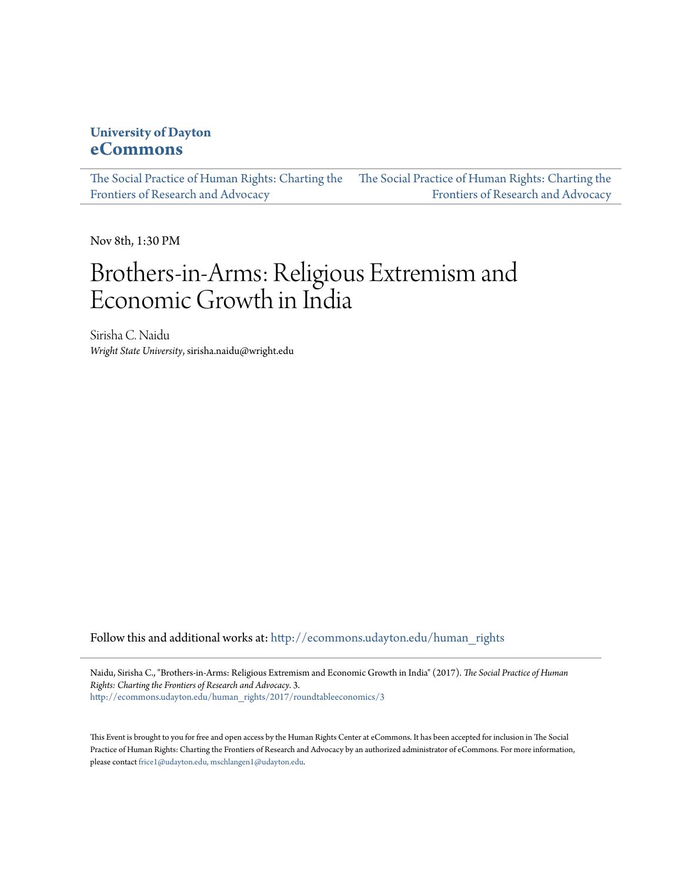### **University of Dayton [eCommons](http://ecommons.udayton.edu?utm_source=ecommons.udayton.edu%2Fhuman_rights%2F2017%2Froundtableeconomics%2F3&utm_medium=PDF&utm_campaign=PDFCoverPages)**

[The Social Practice of Human Rights: Charting the](http://ecommons.udayton.edu/human_rights?utm_source=ecommons.udayton.edu%2Fhuman_rights%2F2017%2Froundtableeconomics%2F3&utm_medium=PDF&utm_campaign=PDFCoverPages) [The Social Practice of Human Rights: Charting the](http://ecommons.udayton.edu/human_rights/2017?utm_source=ecommons.udayton.edu%2Fhuman_rights%2F2017%2Froundtableeconomics%2F3&utm_medium=PDF&utm_campaign=PDFCoverPages) [Frontiers of Research and Advocacy](http://ecommons.udayton.edu/human_rights?utm_source=ecommons.udayton.edu%2Fhuman_rights%2F2017%2Froundtableeconomics%2F3&utm_medium=PDF&utm_campaign=PDFCoverPages) [Frontiers of Research and Advocacy](http://ecommons.udayton.edu/human_rights/2017?utm_source=ecommons.udayton.edu%2Fhuman_rights%2F2017%2Froundtableeconomics%2F3&utm_medium=PDF&utm_campaign=PDFCoverPages)

Nov 8th, 1:30 PM

# Brothers-in-Arms: Religious Extremism and Economic Growth in India

Sirisha C. Naidu *Wright State University*, sirisha.naidu@wright.edu

Follow this and additional works at: [http://ecommons.udayton.edu/human\\_rights](http://ecommons.udayton.edu/human_rights?utm_source=ecommons.udayton.edu%2Fhuman_rights%2F2017%2Froundtableeconomics%2F3&utm_medium=PDF&utm_campaign=PDFCoverPages)

Naidu, Sirisha C., "Brothers-in-Arms: Religious Extremism and Economic Growth in India" (2017). *The Social Practice of Human Rights: Charting the Frontiers of Research and Advocacy*. 3. [http://ecommons.udayton.edu/human\\_rights/2017/roundtableeconomics/3](http://ecommons.udayton.edu/human_rights/2017/roundtableeconomics/3?utm_source=ecommons.udayton.edu%2Fhuman_rights%2F2017%2Froundtableeconomics%2F3&utm_medium=PDF&utm_campaign=PDFCoverPages)

This Event is brought to you for free and open access by the Human Rights Center at eCommons. It has been accepted for inclusion in The Social Practice of Human Rights: Charting the Frontiers of Research and Advocacy by an authorized administrator of eCommons. For more information, please contact [frice1@udayton.edu, mschlangen1@udayton.edu.](mailto:frice1@udayton.edu,%20mschlangen1@udayton.edu)